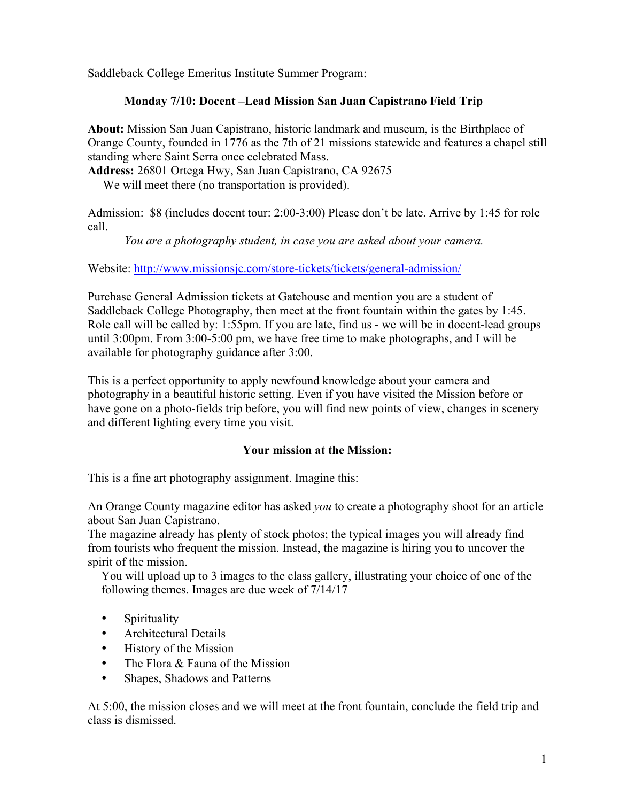Saddleback College Emeritus Institute Summer Program:

# **Monday 7/10: Docent –Lead Mission San Juan Capistrano Field Trip**

**About:** Mission San Juan Capistrano, historic landmark and museum, is the Birthplace of Orange County, founded in 1776 as the 7th of 21 missions statewide and features a chapel still standing where Saint Serra once celebrated Mass.

**Address:** 26801 Ortega Hwy, San Juan Capistrano, CA 92675

We will meet there (no transportation is provided).

Admission: \$8 (includes docent tour: 2:00-3:00) Please don't be late. Arrive by 1:45 for role call.

*You are a photography student, in case you are asked about your camera.*

Website: http://www.missionsjc.com/store-tickets/tickets/general-admission/

Purchase General Admission tickets at Gatehouse and mention you are a student of Saddleback College Photography, then meet at the front fountain within the gates by 1:45. Role call will be called by: 1:55pm. If you are late, find us - we will be in docent-lead groups until 3:00pm. From 3:00-5:00 pm, we have free time to make photographs, and I will be available for photography guidance after 3:00.

This is a perfect opportunity to apply newfound knowledge about your camera and photography in a beautiful historic setting. Even if you have visited the Mission before or have gone on a photo-fields trip before, you will find new points of view, changes in scenery and different lighting every time you visit.

## **Your mission at the Mission:**

This is a fine art photography assignment. Imagine this:

An Orange County magazine editor has asked *you* to create a photography shoot for an article about San Juan Capistrano.

The magazine already has plenty of stock photos; the typical images you will already find from tourists who frequent the mission. Instead, the magazine is hiring you to uncover the spirit of the mission.

You will upload up to 3 images to the class gallery, illustrating your choice of one of the following themes. Images are due week of 7/14/17

- Spirituality
- Architectural Details
- History of the Mission
- The Flora & Fauna of the Mission
- Shapes, Shadows and Patterns

At 5:00, the mission closes and we will meet at the front fountain, conclude the field trip and class is dismissed.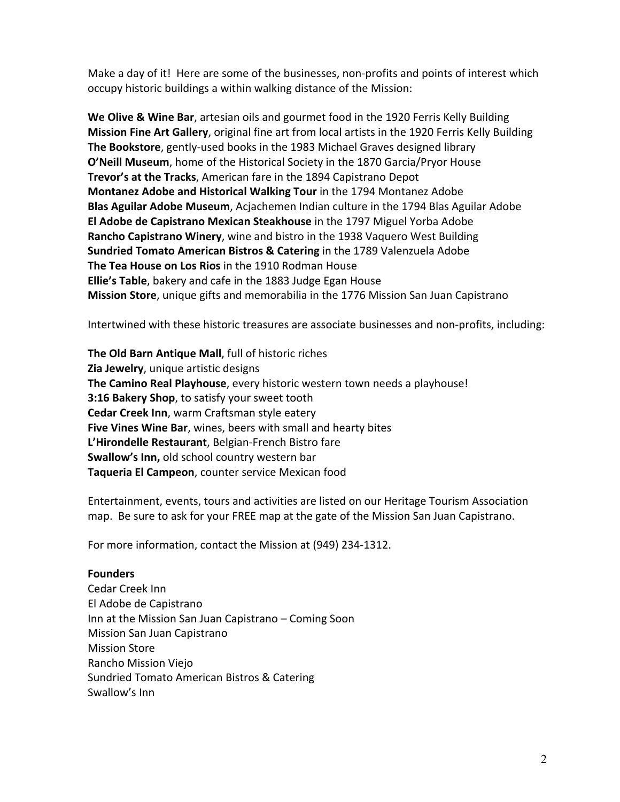Make a day of it! Here are some of the businesses, non-profits and points of interest which occupy historic buildings a within walking distance of the Mission:

**We Olive & Wine Bar**, artesian oils and gourmet food in the 1920 Ferris Kelly Building **Mission Fine Art Gallery**, original fine art from local artists in the 1920 Ferris Kelly Building **The Bookstore**, gently-used books in the 1983 Michael Graves designed library **O'Neill Museum**, home of the Historical Society in the 1870 Garcia/Pryor House **Trevor's at the Tracks**, American fare in the 1894 Capistrano Depot **Montanez Adobe and Historical Walking Tour** in the 1794 Montanez Adobe **Blas Aguilar Adobe Museum**, Acjachemen Indian culture in the 1794 Blas Aguilar Adobe **El Adobe de Capistrano Mexican Steakhouse** in the 1797 Miguel Yorba Adobe **Rancho Capistrano Winery**, wine and bistro in the 1938 Vaquero West Building **Sundried Tomato American Bistros & Catering** in the 1789 Valenzuela Adobe **The Tea House on Los Rios** in the 1910 Rodman House **Ellie's Table**, bakery and cafe in the 1883 Judge Egan House **Mission Store**, unique gifts and memorabilia in the 1776 Mission San Juan Capistrano

Intertwined with these historic treasures are associate businesses and non-profits, including:

**The Old Barn Antique Mall, full of historic riches Zia Jewelry**, unique artistic designs **The Camino Real Playhouse**, every historic western town needs a playhouse! **3:16 Bakery Shop**, to satisfy your sweet tooth **Cedar Creek Inn, warm Craftsman style eatery Five Vines Wine Bar**, wines, beers with small and hearty bites L'Hirondelle Restaurant, Belgian-French Bistro fare **Swallow's Inn, old school country western bar Taqueria El Campeon**, counter service Mexican food

Entertainment, events, tours and activities are listed on our Heritage Tourism Association map. Be sure to ask for your FREE map at the gate of the Mission San Juan Capistrano.

For more information, contact the Mission at (949) 234-1312.

## **Founders**

Cedar Creek Inn El Adobe de Capistrano Inn at the Mission San Juan Capistrano - Coming Soon Mission San Juan Capistrano **Mission Store** Rancho Mission Viejo Sundried Tomato American Bistros & Catering Swallow's Inn